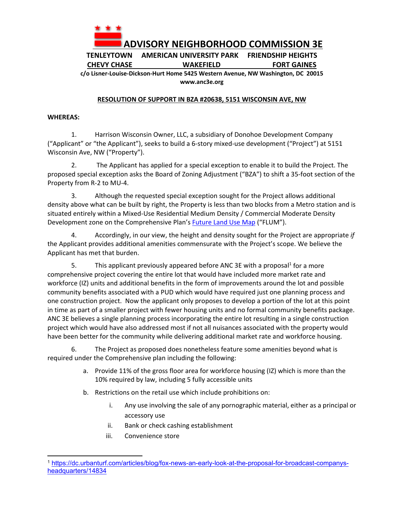

**TENLEYTOWN AMERICAN UNIVERSITY PARK FRIENDSHIP HEIGHTS CHEVY CHASE WAKEFIELD FORT GAINES** 

**c/o Lisner‐Louise‐Dickson‐Hurt Home 5425 Western Avenue, NW Washington, DC 20015 www.anc3e.org** 

## **RESOLUTION OF SUPPORT IN BZA #20638, 5151 WISCONSIN AVE, NW**

## **WHEREAS:**

1. Harrison Wisconsin Owner, LLC, a subsidiary of Donohoe Development Company ("Applicant" or "the Applicant"), seeks to build a 6‐story mixed‐use development ("Project") at 5151 Wisconsin Ave, NW ("Property").

2. The Applicant has applied for a special exception to enable it to build the Project. The proposed special exception asks the Board of Zoning Adjustment ("BZA") to shift a 35‐foot section of the Property from R‐2 to MU‐4.

3. Although the requested special exception sought for the Project allows additional density above what can be built by right, the Property is less than two blocks from a Metro station and is situated entirely within a Mixed‐Use Residential Medium Density / Commercial Moderate Density Development zone on the Comprehensive Plan's Future Land Use Map ("FLUM").

4. Accordingly, in our view, the height and density sought for the Project are appropriate *if* the Applicant provides additional amenities commensurate with the Project's scope. We believe the Applicant has met that burden.

5. This applicant previously appeared before ANC 3E with a proposal<sup>1</sup> for a more comprehensive project covering the entire lot that would have included more market rate and workforce (IZ) units and additional benefits in the form of improvements around the lot and possible community benefits associated with a PUD which would have required just one planning process and one construction project. Now the applicant only proposes to develop a portion of the lot at this point in time as part of a smaller project with fewer housing units and no formal community benefits package. ANC 3E believes a single planning process incorporating the entire lot resulting in a single construction project which would have also addressed most if not all nuisances associated with the property would have been better for the community while delivering additional market rate and workforce housing.

6. The Project as proposed does nonetheless feature some amenities beyond what is required under the Comprehensive plan including the following:

- a. Provide 11% of the gross floor area for workforce housing (IZ) which is more than the 10% required by law, including 5 fully accessible units
- b. Restrictions on the retail use which include prohibitions on:
	- i. Any use involving the sale of any pornographic material, either as a principal or accessory use
	- ii. Bank or check cashing establishment
	- iii. Convenience store

<sup>1</sup> https://dc.urbanturf.com/articles/blog/fox-news-an-early-look-at-the-proposal-for-broadcast-companysheadquarters/14834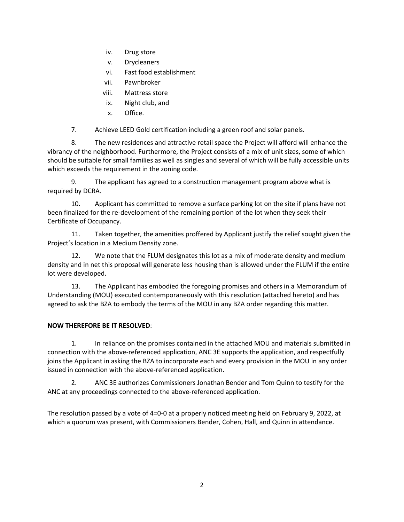- iv. Drug store
- v. Drycleaners
- vi. Fast food establishment
- vii. Pawnbroker
- viii. Mattress store
- ix. Night club, and
- x. Office.

7. Achieve LEED Gold certification including a green roof and solar panels.

8. The new residences and attractive retail space the Project will afford will enhance the vibrancy of the neighborhood. Furthermore, the Project consists of a mix of unit sizes, some of which should be suitable for small families as well as singles and several of which will be fully accessible units which exceeds the requirement in the zoning code.

9. The applicant has agreed to a construction management program above what is required by DCRA.

10. Applicant has committed to remove a surface parking lot on the site if plans have not been finalized for the re-development of the remaining portion of the lot when they seek their Certificate of Occupancy.

11. Taken together, the amenities proffered by Applicant justify the relief sought given the Project's location in a Medium Density zone.

12. We note that the FLUM designates this lot as a mix of moderate density and medium density and in net this proposal will generate less housing than is allowed under the FLUM if the entire lot were developed.

13. The Applicant has embodied the foregoing promises and others in a Memorandum of Understanding (MOU) executed contemporaneously with this resolution (attached hereto) and has agreed to ask the BZA to embody the terms of the MOU in any BZA order regarding this matter.

## **NOW THEREFORE BE IT RESOLVED**:

1. In reliance on the promises contained in the attached MOU and materials submitted in connection with the above‐referenced application, ANC 3E supports the application, and respectfully joins the Applicant in asking the BZA to incorporate each and every provision in the MOU in any order issued in connection with the above‐referenced application.

2. ANC 3E authorizes Commissioners Jonathan Bender and Tom Quinn to testify for the ANC at any proceedings connected to the above‐referenced application.

The resolution passed by a vote of 4=0‐0 at a properly noticed meeting held on February 9, 2022, at which a quorum was present, with Commissioners Bender, Cohen, Hall, and Quinn in attendance.